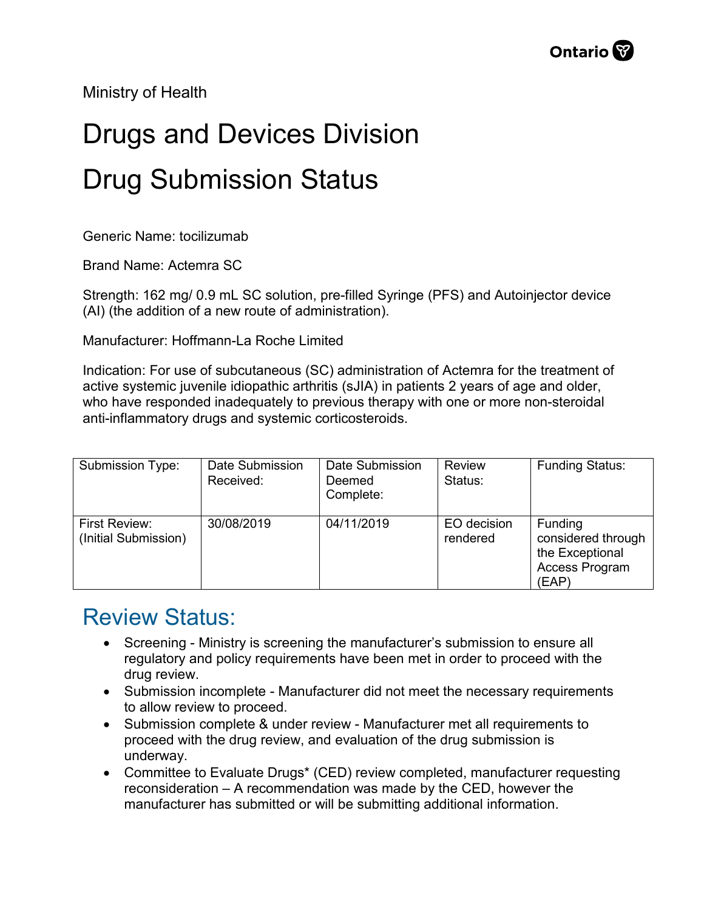Ministry of Health

## Drugs and Devices Division Drug Submission Status

Generic Name: tocilizumab

Brand Name: Actemra SC

Strength: 162 mg/ 0.9 mL SC solution, pre-filled Syringe (PFS) and Autoinjector device (AI) (the addition of a new route of administration).

Manufacturer: Hoffmann-La Roche Limited

Indication: For use of subcutaneous (SC) administration of Actemra for the treatment of active systemic juvenile idiopathic arthritis (sJIA) in patients 2 years of age and older, who have responded inadequately to previous therapy with one or more non-steroidal anti-inflammatory drugs and systemic corticosteroids.

| Submission Type:                             | Date Submission<br>Received: | Date Submission<br>Deemed<br>Complete: | <b>Review</b><br>Status: | <b>Funding Status:</b>                                                      |
|----------------------------------------------|------------------------------|----------------------------------------|--------------------------|-----------------------------------------------------------------------------|
| <b>First Review:</b><br>(Initial Submission) | 30/08/2019                   | 04/11/2019                             | EO decision<br>rendered  | Funding<br>considered through<br>the Exceptional<br>Access Program<br>(EAP) |

## Review Status:

- Screening Ministry is screening the manufacturer's submission to ensure all regulatory and policy requirements have been met in order to proceed with the drug review.
- Submission incomplete Manufacturer did not meet the necessary requirements to allow review to proceed.
- Submission complete & under review Manufacturer met all requirements to proceed with the drug review, and evaluation of the drug submission is underway.
- Committee to Evaluate Drugs\* (CED) review completed, manufacturer requesting reconsideration – A recommendation was made by the CED, however the manufacturer has submitted or will be submitting additional information.